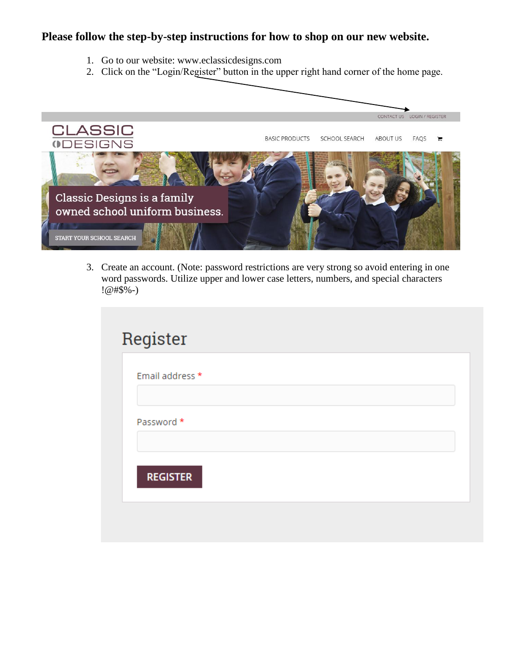## **Please follow the step-by-step instructions for how to shop on our new website.**

- 1. Go to our website: www.eclassicdesigns.com
- 2. Click on the "Login/Register" button in the upper right hand corner of the home page.



3. Create an account. (Note: password restrictions are very strong so avoid entering in one word passwords. Utilize upper and lower case letters, numbers, and special characters !@#\$%-)

| Email address * |  |  |
|-----------------|--|--|
|                 |  |  |
| Password *      |  |  |
|                 |  |  |
|                 |  |  |
| <b>REGISTER</b> |  |  |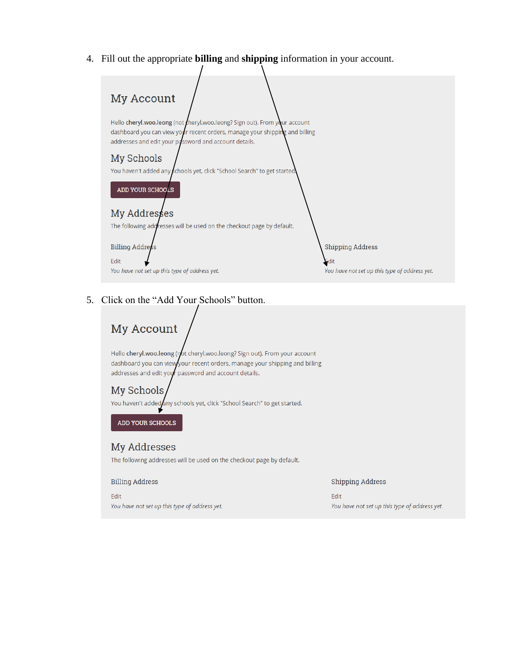4. Fill out the appropriate **billing** and **shipping** information in your account.



#### 5. Click on the "Add Your Schools" button.

# My Account

Hello cheryl.woo.leong (not cheryl.woo.leong? Sign out). From your account dashboard you can viewyour recent orders, manage your shipping and billing addresses and edit your password and account details.

#### My Schools

You haven't added any schools yet, click "School Search" to get started.

ADD YOUR SCHOOLS

### My Addresses

The following addresses will be used on the checkout page by default.

**Billing Address** 

Edit You have not set up this type of address yet. **Shipping Address** 

Edit You have not set up this type of address yet.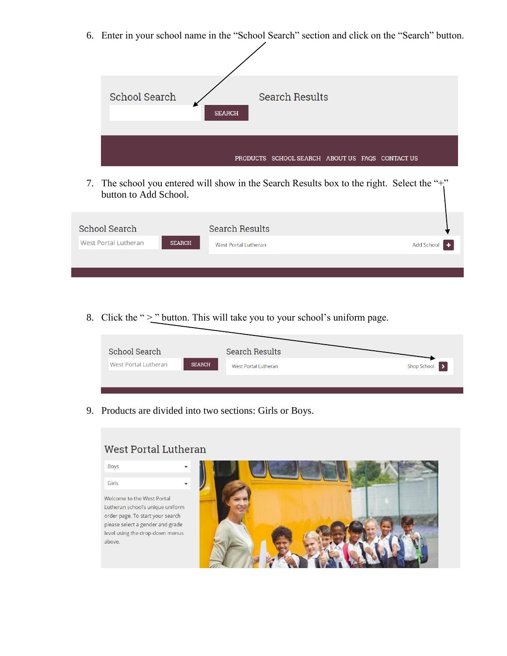6. Enter in your school name in the "School Search" section and click on the "Search" button.



7. The school you entered will show in the Search Results box to the right. Select the "+" button to Add School.

| School Search               |               | <b>Search Results</b> |              |
|-----------------------------|---------------|-----------------------|--------------|
| <b>West Portal Lutheran</b> | <b>SEARCH</b> | West Portal Lutheran  | Add School + |
|                             |               |                       |              |
|                             |               |                       |              |

8. Click the " $\geq$ " button. This will take you to your school's uniform page.

| School Search        |               | Search Results       |               |
|----------------------|---------------|----------------------|---------------|
| West Portal Lutheran | <b>SEARCH</b> | West Portal Lutheran | Shop School > |
|                      |               |                      |               |

9. Products are divided into two sections: Girls or Boys.



#### **West Portal Lutheran**

**Boys** 

Girls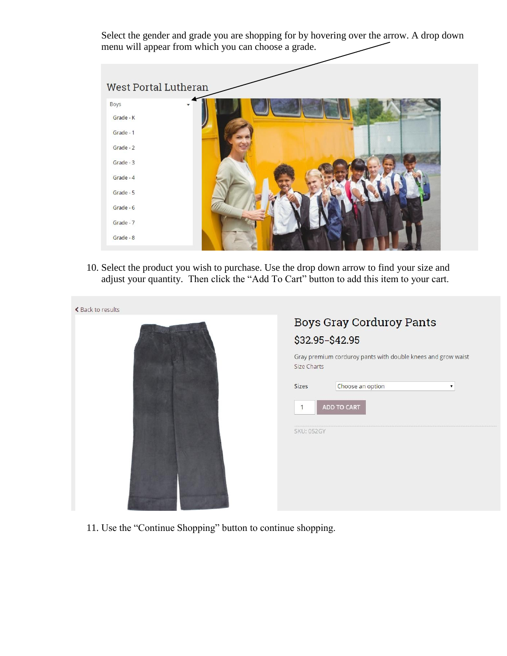Select the gender and grade you are shopping for by hovering over the arrow. A drop down menu will appear from which you can choose a grade.

| West Portal Lutheran |  |
|----------------------|--|
| <b>Boys</b>          |  |
| Grade - K            |  |
| Grade - 1            |  |
| Grade - 2            |  |
| Grade - 3            |  |
| Grade - 4            |  |
| Grade - 5            |  |
| Grade - 6            |  |
| Grade - 7            |  |
| Grade - 8            |  |
|                      |  |

10. Select the product you wish to purchase. Use the drop down arrow to find your size and adjust your quantity. Then click the "Add To Cart" button to add this item to your cart.



11. Use the "Continue Shopping" button to continue shopping.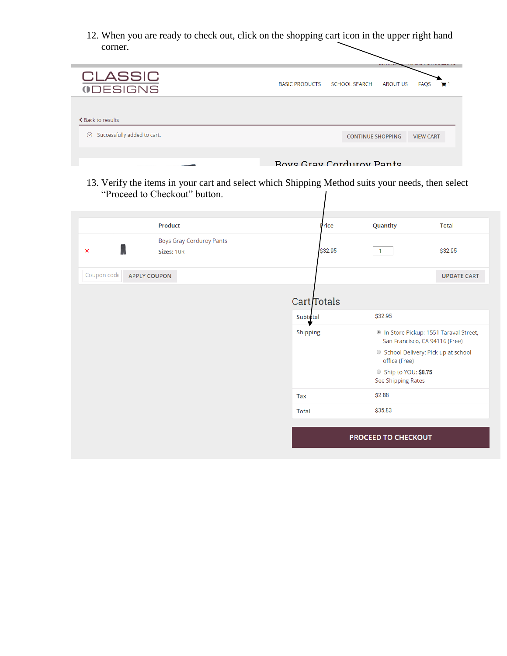12. When you are ready to check out, click on the shopping cart icon in the upper right hand corner.

|                                        | -----                                                              |
|----------------------------------------|--------------------------------------------------------------------|
| <b>CLASSIC</b><br><b>ODESIGNS</b>      | BASIC PRODUCTS SCHOOL SEARCH<br>FAQS<br>ABOUT US<br>F <sub>1</sub> |
| ← Back to results                      |                                                                    |
| Successfully added to cart.<br>$\odot$ | <b>CONTINUE SHOPPING</b><br><b>VIEW CART</b>                       |
|                                        | <b>Boys Cray Corduroy Pante</b>                                    |

13. Verify the items in your cart and select which Shipping Method suits your needs, then select "Proceed to Checkout" button.

|                                    | Product                                | Price           | Quantity                                  | <b>Total</b>                                                            |
|------------------------------------|----------------------------------------|-----------------|-------------------------------------------|-------------------------------------------------------------------------|
| $\boldsymbol{\mathsf{x}}$          | Boys Gray Corduroy Pants<br>Sizes: 10R | \$32.95         | $\mathbf{1}$                              | \$32.95                                                                 |
| Coupon code<br><b>APPLY COUPON</b> |                                        |                 |                                           | <b>UPDATE CART</b>                                                      |
|                                    |                                        | Cart Totals     |                                           |                                                                         |
|                                    |                                        | <b>Subtotal</b> | \$32.95                                   |                                                                         |
|                                    |                                        | <b>Shipping</b> |                                           | In Store Pickup: 1551 Taraval Street,<br>San Francisco, CA 94116 (Free) |
|                                    |                                        |                 | office (Free)                             | ○ School Delivery: Pick up at school                                    |
|                                    |                                        |                 | Ship to YOU: \$8.75<br>See Shipping Rates |                                                                         |
|                                    |                                        | <b>Tax</b>      | \$2.88                                    |                                                                         |
|                                    |                                        | <b>Total</b>    | \$35.83                                   |                                                                         |
|                                    |                                        |                 | PROCEED TO CHECKOUT                       |                                                                         |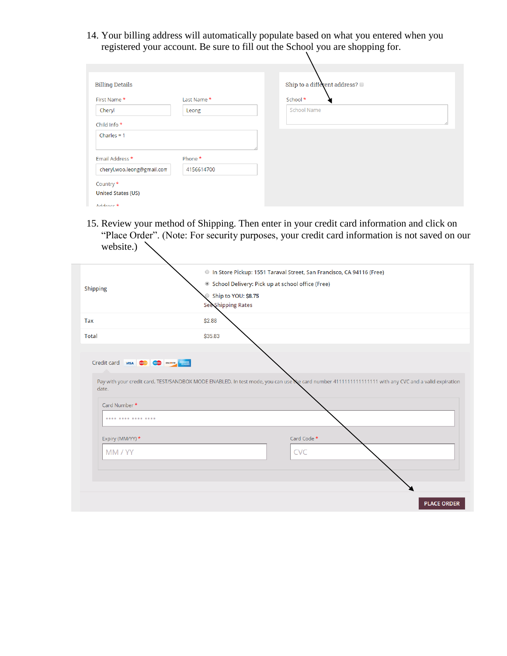14. Your billing address will automatically populate based on what you entered when you registered your account. Be sure to fill out the School you are shopping for.

| <b>Billing Details</b>     |             | Ship to a different address? |
|----------------------------|-------------|------------------------------|
| First Name*                | Last Name * | School *                     |
| Cheryl                     | Leong       | <b>School Name</b>           |
| Child Info *               |             |                              |
| Charles = $1$              |             |                              |
| Email Address *            | Phone *     |                              |
| cheryl.woo.leong@gmail.com | 4156614700  |                              |
| Country *                  |             |                              |
| <b>United States (US)</b>  |             |                              |
| Address *                  |             |                              |

15. Review your method of Shipping. Then enter in your credit card information and click on "Place Order". (Note: For security purposes, your credit card information is not saved on our website.)

| <b>Shipping</b>            | In Store Pickup: 1551 Taraval Street, San Francisco, CA 94116 (Free)<br>School Delivery: Pick up at school office (Free)<br>Ship to YOU: \$8.75<br><b>See Shipping Rates</b> |
|----------------------------|------------------------------------------------------------------------------------------------------------------------------------------------------------------------------|
| Tax                        | \$2.88                                                                                                                                                                       |
| <b>Total</b>               | \$35.83                                                                                                                                                                      |
|                            |                                                                                                                                                                              |
| date.<br>Card Number *<br> | Pay with your credit card. TEST/SANDBOX MODE ENABLED. In test mode, you can use the card number 411111111111111111 with any CVC and a valid expiration                       |
| Expiry (MM/YY) *           | Card Code *                                                                                                                                                                  |
| MM / YY                    | <b>CVC</b>                                                                                                                                                                   |